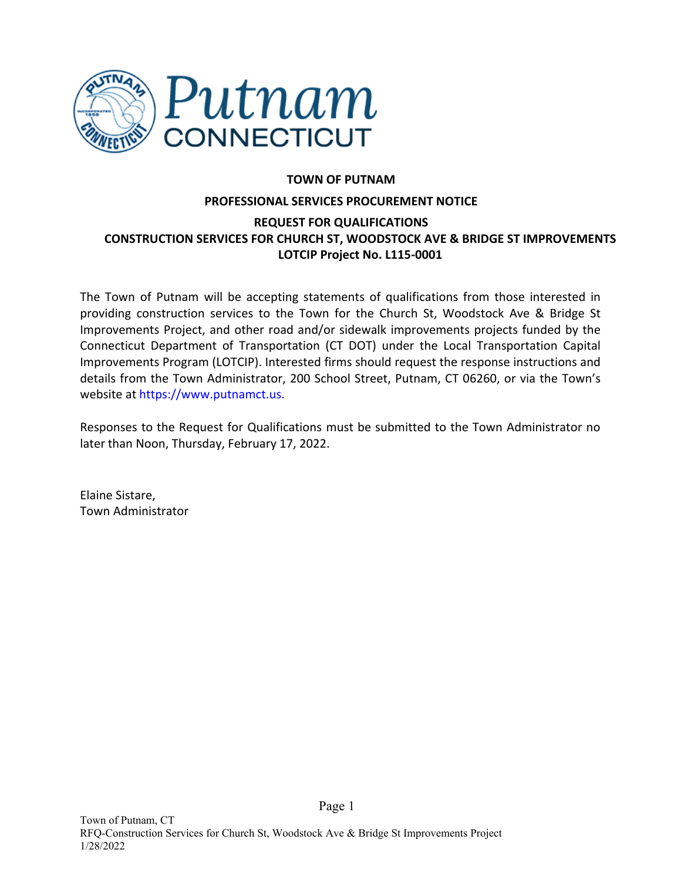

### **TOWN OF PUTNAM**

# **PROFESSIONAL SERVICES PROCUREMENT NOTICE REQUEST FOR QUALIFICATIONS CONSTRUCTION SERVICES FOR CHURCH ST, WOODSTOCK AVE & BRIDGE ST IMPROVEMENTS LOTCIP Project No. L115-0001**

The Town of Putnam will be accepting statements of qualifications from those interested in providing construction services to the Town for the Church St, Woodstock Ave & Bridge St Improvements Project, and other road and/or sidewalk improvements projects funded by the Connecticut Department of Transportation (CT DOT) under the Local Transportation Capital Improvements Program (LOTCIP). Interested firms should request the response instructions and details from the Town Administrator, 200 School Street, Putnam, CT 06260, or via the Town's website at [https://www.putnamct.us.](http://www.easthamptonct.gov/)

Responses to the Request for Qualifications must be submitted to the Town Administrator no later than Noon, Thursday, February 17, 2022.

Elaine Sistare, Town Administrator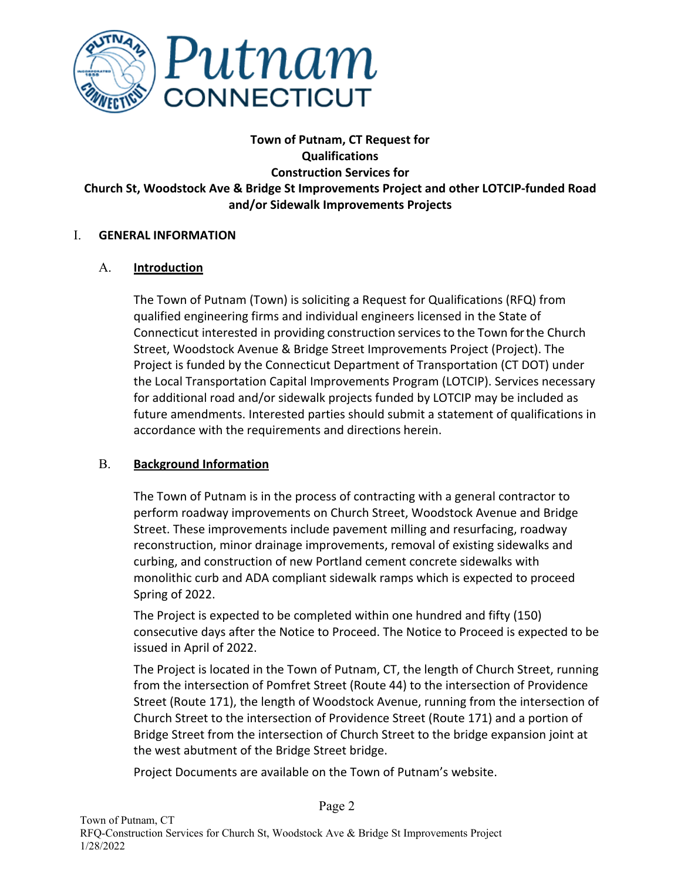

## **Town of Putnam, CT Request for Qualifications Construction Services for Church St, Woodstock Ave & Bridge St Improvements Project and other LOTCIP-funded Road and/or Sidewalk Improvements Projects**

### I. **GENERAL INFORMATION**

### A. **Introduction**

The Town of Putnam (Town) is soliciting a Request for Qualifications (RFQ) from qualified engineering firms and individual engineers licensed in the State of Connecticut interested in providing construction services to the Town for the Church Street, Woodstock Avenue & Bridge Street Improvements Project (Project). The Project is funded by the Connecticut Department of Transportation (CT DOT) under the Local Transportation Capital Improvements Program (LOTCIP). Services necessary for additional road and/or sidewalk projects funded by LOTCIP may be included as future amendments. Interested parties should submit a statement of qualifications in accordance with the requirements and directions herein.

### B. **Background Information**

The Town of Putnam is in the process of contracting with a general contractor to perform roadway improvements on Church Street, Woodstock Avenue and Bridge Street. These improvements include pavement milling and resurfacing, roadway reconstruction, minor drainage improvements, removal of existing sidewalks and curbing, and construction of new Portland cement concrete sidewalks with monolithic curb and ADA compliant sidewalk ramps which is expected to proceed Spring of 2022.

The Project is expected to be completed within one hundred and fifty (150) consecutive days after the Notice to Proceed. The Notice to Proceed is expected to be issued in April of 2022.

The Project is located in the Town of Putnam, CT, the length of Church Street, running from the intersection of Pomfret Street (Route 44) to the intersection of Providence Street (Route 171), the length of Woodstock Avenue, running from the intersection of Church Street to the intersection of Providence Street (Route 171) and a portion of Bridge Street from the intersection of Church Street to the bridge expansion joint at the west abutment of the Bridge Street bridge.

Project Documents are available on the Town of Putnam's website.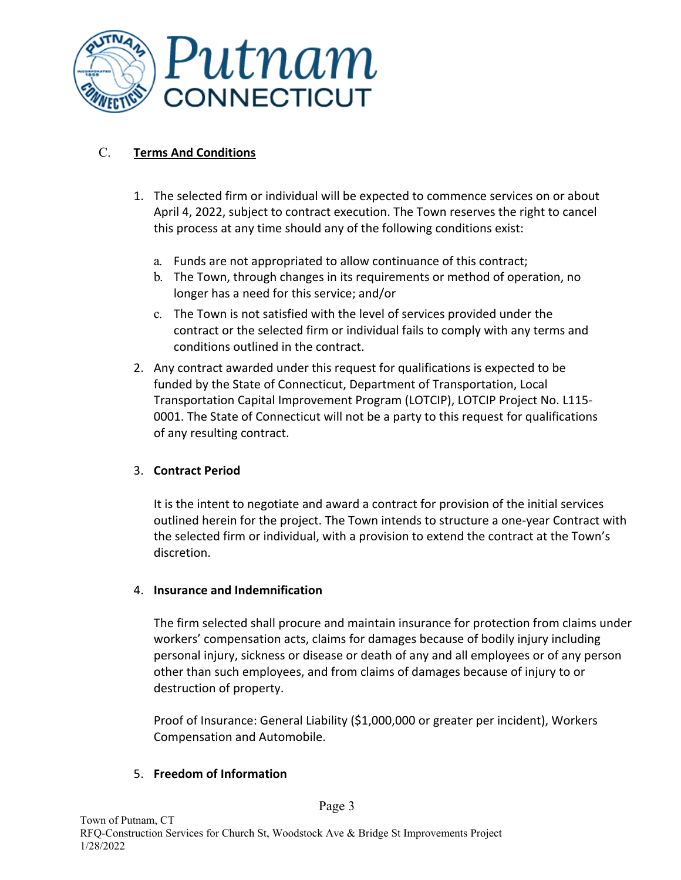

## C. **Terms And Conditions**

- 1. The selected firm or individual will be expected to commence services on or about April 4, 2022, subject to contract execution. The Town reserves the right to cancel this process at any time should any of the following conditions exist:
	- a. Funds are not appropriated to allow continuance of this contract;
	- b. The Town, through changes in its requirements or method of operation, no longer has a need for this service; and/or
	- c. The Town is not satisfied with the level of services provided under the contract or the selected firm or individual fails to comply with any terms and conditions outlined in the contract.
- 2. Any contract awarded under this request for qualifications is expected to be funded by the State of Connecticut, Department of Transportation, Local Transportation Capital Improvement Program (LOTCIP), LOTCIP Project No. L115- 0001. The State of Connecticut will not be a party to this request for qualifications of any resulting contract.

### 3. **Contract Period**

It is the intent to negotiate and award a contract for provision of the initial services outlined herein for the project. The Town intends to structure a one-year Contract with the selected firm or individual, with a provision to extend the contract at the Town's discretion.

### 4. **Insurance and Indemnification**

The firm selected shall procure and maintain insurance for protection from claims under workers' compensation acts, claims for damages because of bodily injury including personal injury, sickness or disease or death of any and all employees or of any person other than such employees, and from claims of damages because of injury to or destruction of property.

Proof of Insurance: General Liability (\$1,000,000 or greater per incident), Workers Compensation and Automobile.

#### 5. **Freedom of Information**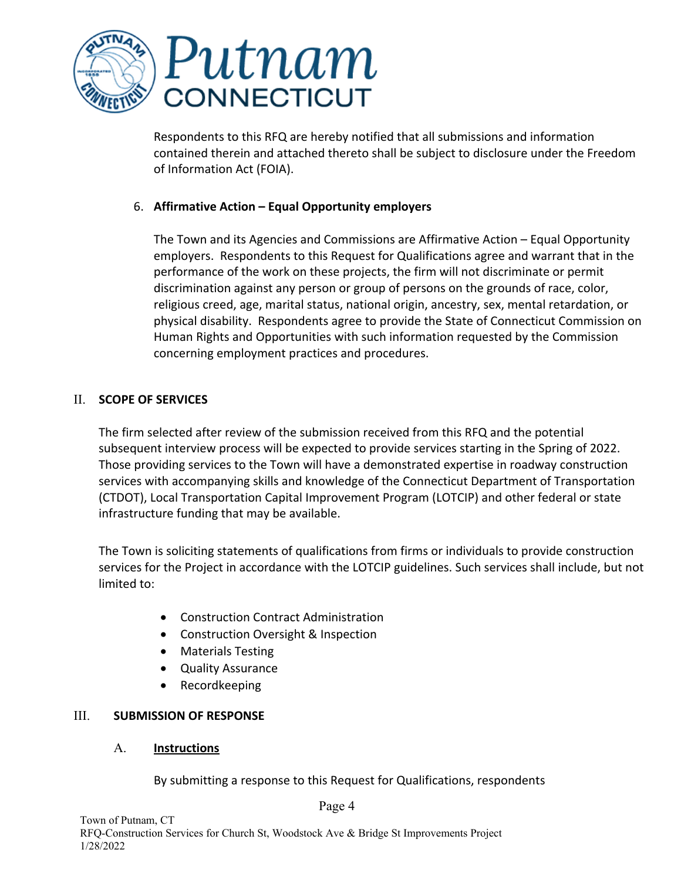

Respondents to this RFQ are hereby notified that all submissions and information contained therein and attached thereto shall be subject to disclosure under the Freedom of Information Act (FOIA).

### 6. **Affirmative Action – Equal Opportunity employers**

The Town and its Agencies and Commissions are Affirmative Action – Equal Opportunity employers. Respondents to this Request for Qualifications agree and warrant that in the performance of the work on these projects, the firm will not discriminate or permit discrimination against any person or group of persons on the grounds of race, color, religious creed, age, marital status, national origin, ancestry, sex, mental retardation, or physical disability. Respondents agree to provide the State of Connecticut Commission on Human Rights and Opportunities with such information requested by the Commission concerning employment practices and procedures.

### II. **SCOPE OF SERVICES**

The firm selected after review of the submission received from this RFQ and the potential subsequent interview process will be expected to provide services starting in the Spring of 2022. Those providing services to the Town will have a demonstrated expertise in roadway construction services with accompanying skills and knowledge of the Connecticut Department of Transportation (CTDOT), Local Transportation Capital Improvement Program (LOTCIP) and other federal or state infrastructure funding that may be available.

The Town is soliciting statements of qualifications from firms or individuals to provide construction services for the Project in accordance with the LOTCIP guidelines. Such services shall include, but not limited to:

- Construction Contract Administration
- Construction Oversight & Inspection
- Materials Testing
- Quality Assurance
- Recordkeeping

### III. **SUBMISSION OF RESPONSE**

### A. **Instructions**

By submitting a response to this Request for Qualifications, respondents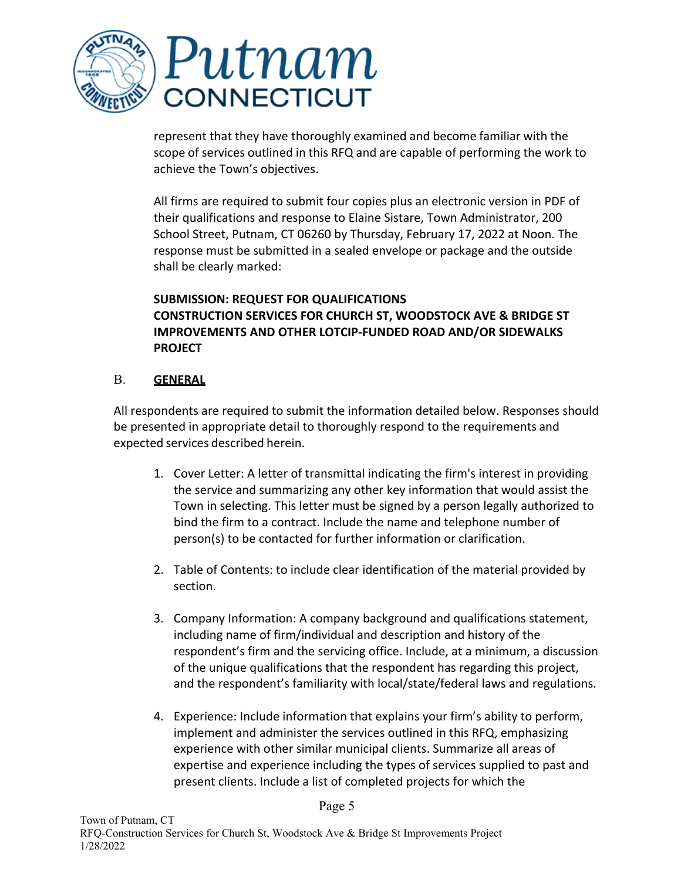

represent that they have thoroughly examined and become familiar with the scope of services outlined in this RFQ and are capable of performing the work to achieve the Town's objectives.

All firms are required to submit four copies plus an electronic version in PDF of their qualifications and response to Elaine Sistare, Town Administrator, 200 School Street, Putnam, CT 06260 by Thursday, February 17, 2022 at Noon. The response must be submitted in a sealed envelope or package and the outside shall be clearly marked:

# **SUBMISSION: REQUEST FOR QUALIFICATIONS CONSTRUCTION SERVICES FOR CHURCH ST, WOODSTOCK AVE & BRIDGE ST IMPROVEMENTS AND OTHER LOTCIP-FUNDED ROAD AND/OR SIDEWALKS PROJECT**

### B. **GENERAL**

All respondents are required to submit the information detailed below. Responses should be presented in appropriate detail to thoroughly respond to the requirements and expected services described herein.

- 1. Cover Letter: A letter of transmittal indicating the firm's interest in providing the service and summarizing any other key information that would assist the Town in selecting. This letter must be signed by a person legally authorized to bind the firm to a contract. Include the name and telephone number of person(s) to be contacted for further information or clarification.
- 2. Table of Contents: to include clear identification of the material provided by section.
- 3. Company Information: A company background and qualifications statement, including name of firm/individual and description and history of the respondent's firm and the servicing office. Include, at a minimum, a discussion of the unique qualifications that the respondent has regarding this project, and the respondent's familiarity with local/state/federal laws and regulations.
- 4. Experience: Include information that explains your firm's ability to perform, implement and administer the services outlined in this RFQ, emphasizing experience with other similar municipal clients. Summarize all areas of expertise and experience including the types of services supplied to past and present clients. Include a list of completed projects for which the

Page 5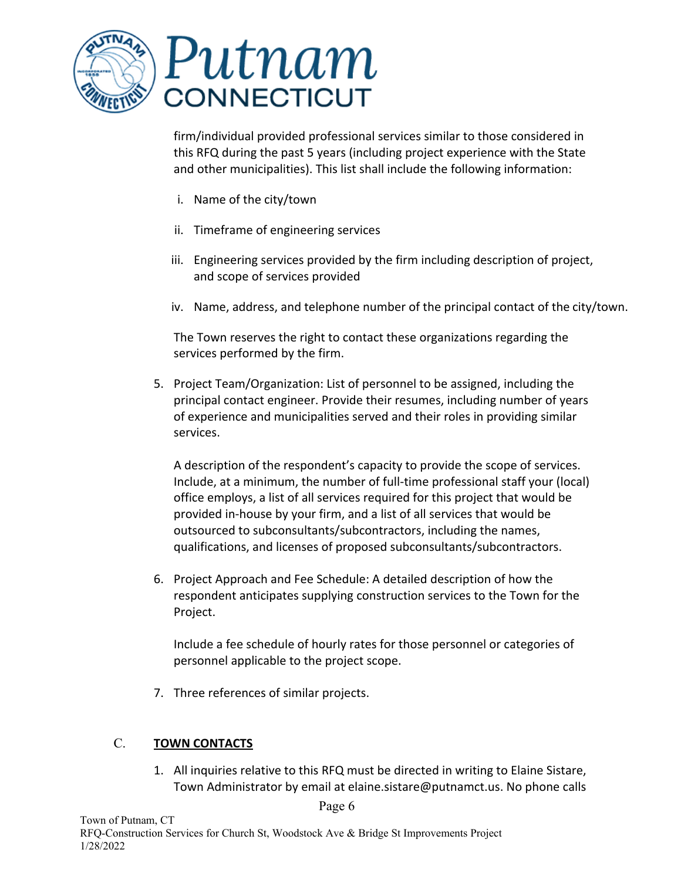

firm/individual provided professional services similar to those considered in this RFQ during the past 5 years (including project experience with the State and other municipalities). This list shall include the following information:

- i. Name of the city/town
- ii. Timeframe of engineering services
- iii. Engineering services provided by the firm including description of project, and scope of services provided
- iv. Name, address, and telephone number of the principal contact of the city/town.

The Town reserves the right to contact these organizations regarding the services performed by the firm.

5. Project Team/Organization: List of personnel to be assigned, including the principal contact engineer. Provide their resumes, including number of years of experience and municipalities served and their roles in providing similar services.

A description of the respondent's capacity to provide the scope of services. Include, at a minimum, the number of full-time professional staff your (local) office employs, a list of all services required for this project that would be provided in-house by your firm, and a list of all services that would be outsourced to subconsultants/subcontractors, including the names, qualifications, and licenses of proposed subconsultants/subcontractors.

6. Project Approach and Fee Schedule: A detailed description of how the respondent anticipates supplying construction services to the Town for the Project.

Include a fee schedule of hourly rates for those personnel or categories of personnel applicable to the project scope.

7. Three references of similar projects.

### C. **TOWN CONTACTS**

1. All inquiries relative to this RFQ must be directed in writing to Elaine Sistare, Town Administrator by email at [elaine.sistare@putnamct.us.](mailto:dcox@easthamptonct.gov) No phone calls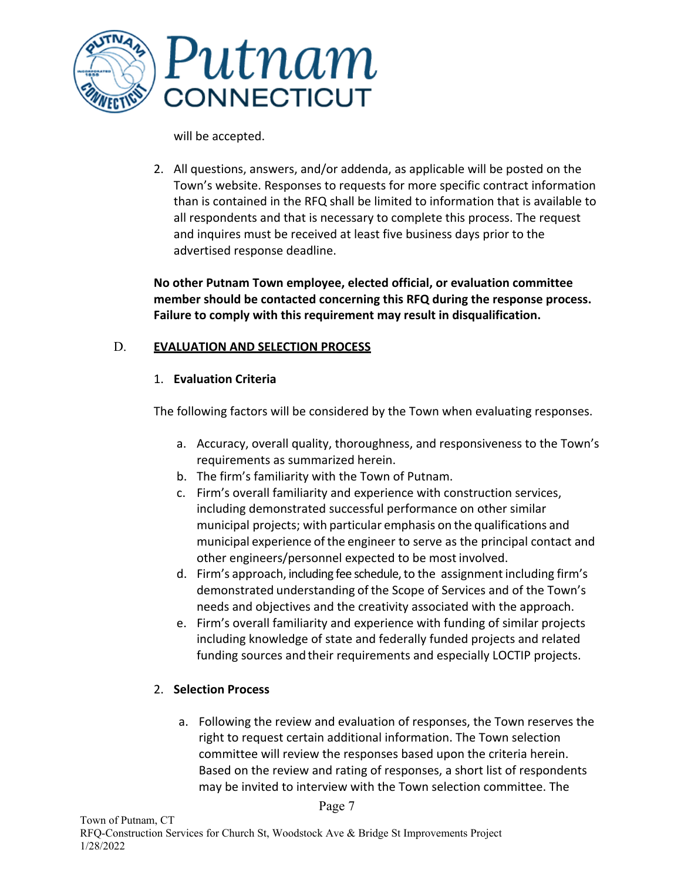

will be accepted.

2. All questions, answers, and/or addenda, as applicable will be posted on the Town's website. Responses to requests for more specific contract information than is contained in the RFQ shall be limited to information that is available to all respondents and that is necessary to complete this process. The request and inquires must be received at least five business days prior to the advertised response deadline.

**No other Putnam Town employee, elected official, or evaluation committee member should be contacted concerning this RFQ during the response process. Failure to comply with this requirement may result in disqualification.**

### D. **EVALUATION AND SELECTION PROCESS**

### 1. **Evaluation Criteria**

The following factors will be considered by the Town when evaluating responses.

- a. Accuracy, overall quality, thoroughness, and responsiveness to the Town's requirements as summarized herein.
- b. The firm's familiarity with the Town of Putnam.
- c. Firm's overall familiarity and experience with construction services, including demonstrated successful performance on other similar municipal projects; with particular emphasis on the qualifications and municipal experience of the engineer to serve as the principal contact and other engineers/personnel expected to be most involved.
- d. Firm's approach, including fee schedule, to the assignment including firm's demonstrated understanding of the Scope of Services and of the Town's needs and objectives and the creativity associated with the approach.
- e. Firm's overall familiarity and experience with funding of similar projects including knowledge of state and federally funded projects and related funding sources and their requirements and especially LOCTIP projects.

#### 2. **Selection Process**

a. Following the review and evaluation of responses, the Town reserves the right to request certain additional information. The Town selection committee will review the responses based upon the criteria herein. Based on the review and rating of responses, a short list of respondents may be invited to interview with the Town selection committee. The